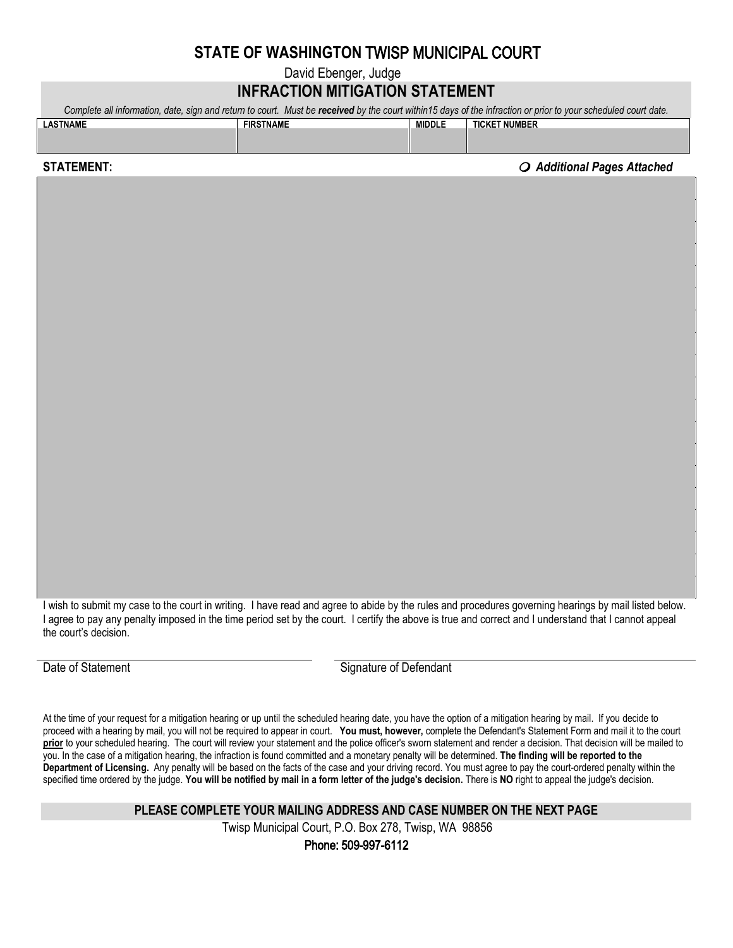## **STATE OF WASHINGTON** TWISP MUNICIPAL COURT

David Ebenger, Judge

## **INFRACTION MITIGATION STATEMENT**

*Complete all information, date, sign and return to court. Must be received by the court within15 days of the infraction or prior to your scheduled court date.*

| <b>LASTNAME</b> | <b>FIRSTNAME</b> | <b>MIDDLE</b> | <b>TICKET NUMBER</b> |
|-----------------|------------------|---------------|----------------------|
|                 |                  |               |                      |
|                 |                  |               |                      |
|                 |                  |               |                      |

**STATEMENT:** *O* Additional Pages Attached *O* 

I wish to submit my case to the court in writing. I have read and agree to abide by the rules and procedures governing hearings by mail listed below. I agree to pay any penalty imposed in the time period set by the court. I certify the above is true and correct and I understand that I cannot appeal the court's decision.

Date of Statement Communication Communication Signature of Defendant

At the time of your request for a mitigation hearing or up until the scheduled hearing date, you have the option of a mitigation hearing by mail. If you decide to proceed with a hearing by mail, you will not be required to appear in court. **You must, however,** complete the Defendant's Statement Form and mail it to the court **prior** to your scheduled hearing. The court will review your statement and the police officer's sworn statement and render a decision. That decision will be mailed to you. In the case of a mitigation hearing, the infraction is found committed and a monetary penalty will be determined. **The finding will be reported to the Department of Licensing.** Any penalty will be based on the facts of the case and your driving record. You must agree to pay the court-ordered penalty within the specified time ordered by the judge. **You will be notified by mail in a form letter of the judge's decision.** There is **NO** right to appeal the judge's decision.

**PLEASE COMPLETE YOUR MAILING ADDRESS AND CASE NUMBER ON THE NEXT PAGE**

Twisp Municipal Court, P.O. Bo[x 278, Twisp, WA 98856](mailto:districtcourt@co.okanogan.wa.us)

Phone: 509-997-6112